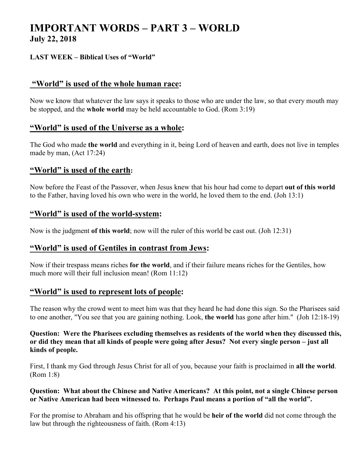# **IMPORTANT WORDS – PART 3 – WORLD July 22, 2018**

#### **LAST WEEK – Biblical Uses of "World"**

## **"World" is used of the whole human race:**

Now we know that whatever the law says it speaks to those who are under the law, so that every mouth may be stopped, and the **whole world** may be held accountable to God. (Rom 3:19)

#### **"World" is used of the Universe as a whole:**

The God who made **the world** and everything in it, being Lord of heaven and earth, does not live in temples made by man, (Act 17:24)

#### **"World" is used of the earth:**

Now before the Feast of the Passover, when Jesus knew that his hour had come to depart **out of this world** to the Father, having loved his own who were in the world, he loved them to the end. (Joh 13:1)

## **"World" is used of the world-system:**

Now is the judgment **of this world**; now will the ruler of this world be cast out. (Joh 12:31)

## **"World" is used of Gentiles in contrast from Jews:**

Now if their trespass means riches **for the world**, and if their failure means riches for the Gentiles, how much more will their full inclusion mean! (Rom 11:12)

## **"World" is used to represent lots of people:**

The reason why the crowd went to meet him was that they heard he had done this sign. So the Pharisees said to one another, "You see that you are gaining nothing. Look, **the world** has gone after him." (Joh 12:18-19)

#### **Question: Were the Pharisees excluding themselves as residents of the world when they discussed this, or did they mean that all kinds of people were going after Jesus? Not every single person – just all kinds of people.**

First, I thank my God through Jesus Christ for all of you, because your faith is proclaimed in **all the world**. (Rom 1:8)

#### **Question: What about the Chinese and Native Americans? At this point, not a single Chinese person or Native American had been witnessed to. Perhaps Paul means a portion of "all the world".**

For the promise to Abraham and his offspring that he would be **heir of the world** did not come through the law but through the righteousness of faith. (Rom 4:13)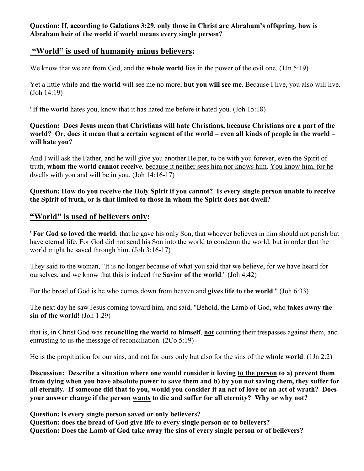**Question: If, according to Galatians 3:29, only those in Christ are Abraham's offspring, how is Abraham heir of the world if world means every single person?** 

# **"World" is used of humanity minus believers:**

We know that we are from God, and the **whole world** lies in the power of the evil one. (1Jn 5:19)

Yet a little while and **the world** will see me no more, **but you will see me**. Because I live, you also will live. (Joh 14:19)

"If **the world** hates you, know that it has hated me before it hated you. (Joh 15:18)

**Question: Does Jesus mean that Christians will hate Christians, because Christians are a part of the world? Or, does it mean that a certain segment of the world – even all kinds of people in the world – will hate you?** 

And I will ask the Father, and he will give you another Helper, to be with you forever, even the Spirit of truth, **whom the world cannot receive**, because it neither sees him nor knows him. You know him, for he dwells with you and will be in you. (Joh 14:16-17)

**Question: How do you receive the Holy Spirit if you cannot? Is every single person unable to receive the Spirit of truth, or is that limited to those in whom the Spirit does not dwell?** 

# **"World" is used of believers only:**

"**For God so loved the world**, that he gave his only Son, that whoever believes in him should not perish but have eternal life. For God did not send his Son into the world to condemn the world, but in order that the world might be saved through him. (Joh 3:16-17)

They said to the woman, "It is no longer because of what you said that we believe, for we have heard for ourselves, and we know that this is indeed the **Savior of the world**." (Joh 4:42)

For the bread of God is he who comes down from heaven and **gives life to the world**." (Joh 6:33)

The next day he saw Jesus coming toward him, and said, "Behold, the Lamb of God, who **takes away the sin of the world**! (Joh 1:29)

that is, in Christ God was **reconciling the world to himself**, **not** counting their trespasses against them, and entrusting to us the message of reconciliation. (2Co 5:19)

He is the propitiation for our sins, and not for ours only but also for the sins of the **whole world**. (1Jn 2:2)

**Discussion: Describe a situation where one would consider it loving to the person to a) prevent them from dying when you have absolute power to save them and b) by you not saving them, they suffer for all eternity. If someone did that to you, would you consider it an act of love or an act of wrath? Does your answer change if the person wants to die and suffer for all eternity? Why or why not?** 

**Question: is every single person saved or only believers?** 

**Question: does the bread of God give life to every single person or to believers? Question: Does the Lamb of God take away the sins of every single person or of believers?**